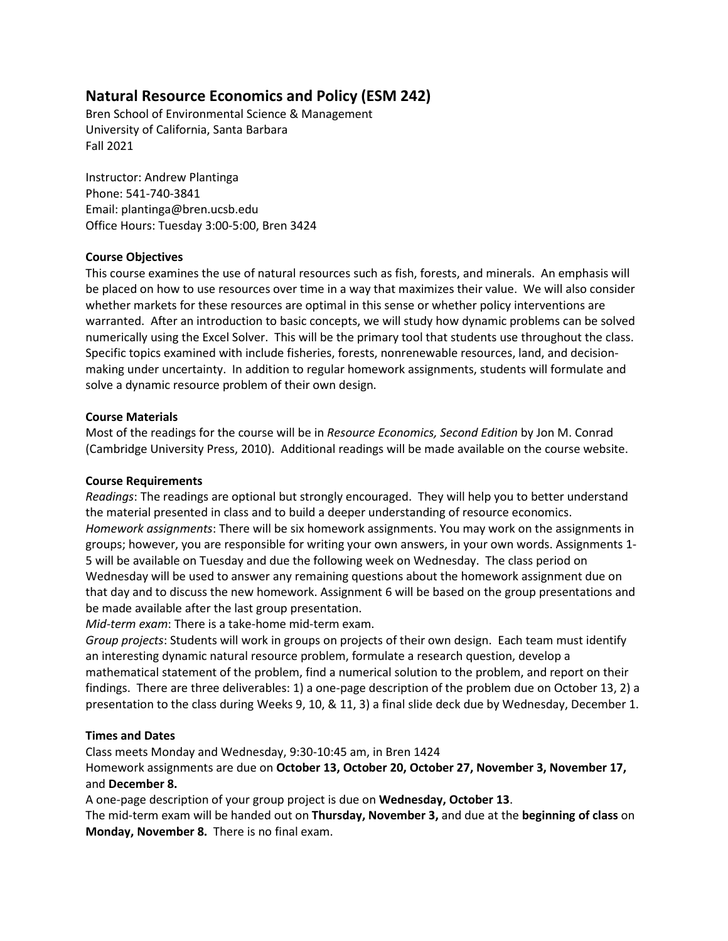# **Natural Resource Economics and Policy (ESM 242)**

Bren School of Environmental Science & Management University of California, Santa Barbara Fall 2021

Instructor: Andrew Plantinga Phone: 541-740-3841 Email: plantinga@bren.ucsb.edu Office Hours: Tuesday 3:00-5:00, Bren 3424

## **Course Objectives**

This course examines the use of natural resources such as fish, forests, and minerals. An emphasis will be placed on how to use resources over time in a way that maximizes their value. We will also consider whether markets for these resources are optimal in this sense or whether policy interventions are warranted. After an introduction to basic concepts, we will study how dynamic problems can be solved numerically using the Excel Solver. This will be the primary tool that students use throughout the class. Specific topics examined with include fisheries, forests, nonrenewable resources, land, and decisionmaking under uncertainty. In addition to regular homework assignments, students will formulate and solve a dynamic resource problem of their own design.

## **Course Materials**

Most of the readings for the course will be in *Resource Economics, Second Edition* by Jon M. Conrad (Cambridge University Press, 2010). Additional readings will be made available on the course website.

## **Course Requirements**

*Readings*: The readings are optional but strongly encouraged. They will help you to better understand the material presented in class and to build a deeper understanding of resource economics. *Homework assignments*: There will be six homework assignments. You may work on the assignments in groups; however, you are responsible for writing your own answers, in your own words. Assignments 1- 5 will be available on Tuesday and due the following week on Wednesday. The class period on Wednesday will be used to answer any remaining questions about the homework assignment due on that day and to discuss the new homework. Assignment 6 will be based on the group presentations and be made available after the last group presentation.

*Mid-term exam*: There is a take-home mid-term exam.

*Group projects*: Students will work in groups on projects of their own design. Each team must identify an interesting dynamic natural resource problem, formulate a research question, develop a mathematical statement of the problem, find a numerical solution to the problem, and report on their findings. There are three deliverables: 1) a one-page description of the problem due on October 13, 2) a presentation to the class during Weeks 9, 10, & 11, 3) a final slide deck due by Wednesday, December 1.

#### **Times and Dates**

Class meets Monday and Wednesday, 9:30-10:45 am, in Bren 1424

Homework assignments are due on **October 13, October 20, October 27, November 3, November 17,**  and **December 8.**

A one-page description of your group project is due on **Wednesday, October 13**.

The mid-term exam will be handed out on **Thursday, November 3,** and due at the **beginning of class** on **Monday, November 8.** There is no final exam.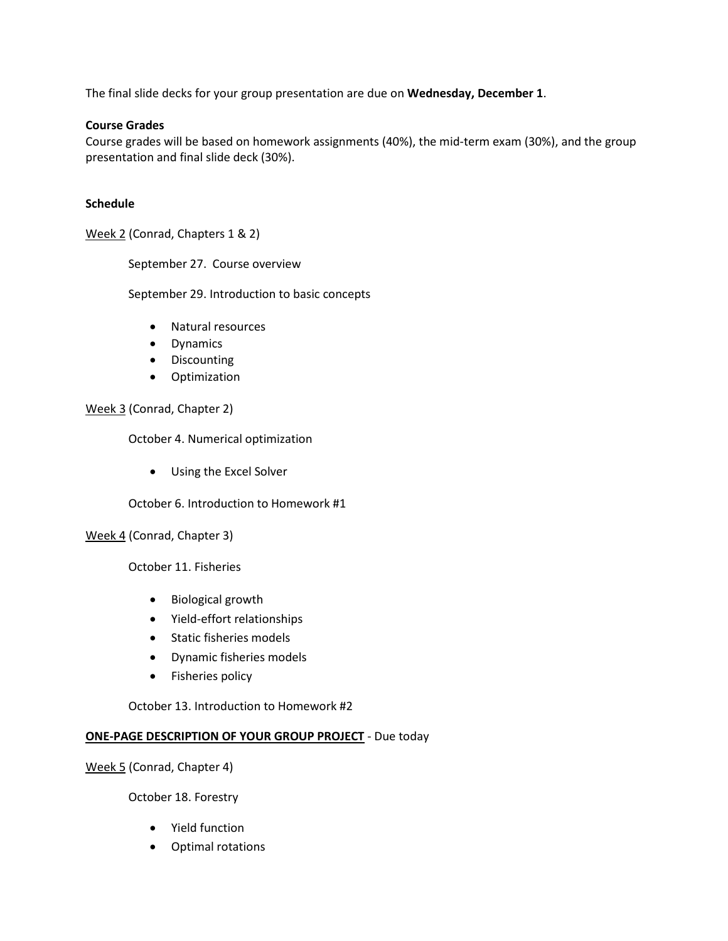The final slide decks for your group presentation are due on **Wednesday, December 1**.

## **Course Grades**

Course grades will be based on homework assignments (40%), the mid-term exam (30%), and the group presentation and final slide deck (30%).

## **Schedule**

Week 2 (Conrad, Chapters 1 & 2)

September 27. Course overview

September 29. Introduction to basic concepts

- Natural resources
- Dynamics
- Discounting
- Optimization

## Week 3 (Conrad, Chapter 2)

October 4. Numerical optimization

• Using the Excel Solver

October 6. Introduction to Homework #1

Week 4 (Conrad, Chapter 3)

October 11. Fisheries

- Biological growth
- Yield-effort relationships
- Static fisheries models
- Dynamic fisheries models
- Fisheries policy

October 13. Introduction to Homework #2

# **ONE-PAGE DESCRIPTION OF YOUR GROUP PROJECT** - Due today

Week 5 (Conrad, Chapter 4)

October 18. Forestry

- Yield function
- Optimal rotations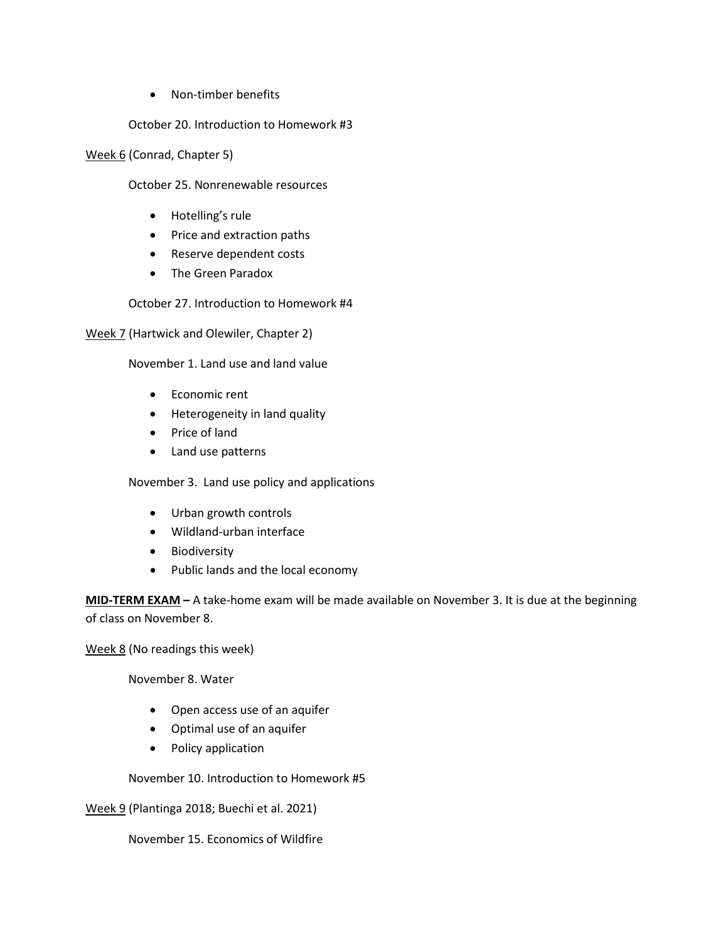• Non-timber benefits

October 20. Introduction to Homework #3

Week 6 (Conrad, Chapter 5)

October 25. Nonrenewable resources

- Hotelling's rule
- Price and extraction paths
- Reserve dependent costs
- The Green Paradox

October 27. Introduction to Homework #4

Week 7 (Hartwick and Olewiler, Chapter 2)

November 1. Land use and land value

- Economic rent
- Heterogeneity in land quality
- Price of land
- Land use patterns

November 3. Land use policy and applications

- Urban growth controls
- Wildland-urban interface
- Biodiversity
- Public lands and the local economy

**MID-TERM EXAM –** A take-home exam will be made available on November 3. It is due at the beginning of class on November 8.

Week 8 (No readings this week)

November 8. Water

- Open access use of an aquifer
- Optimal use of an aquifer
- Policy application

November 10. Introduction to Homework #5

Week 9 (Plantinga 2018; Buechi et al. 2021)

November 15. Economics of Wildfire